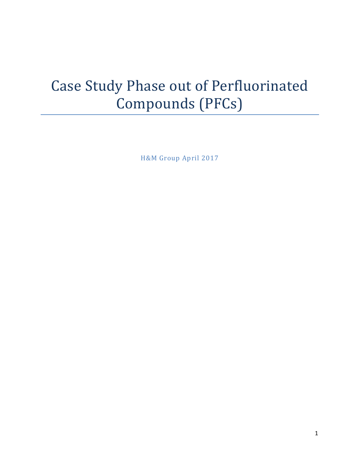# Case Study Phase out of Perfluorinated Compounds (PFCs)

H&M Group April 2017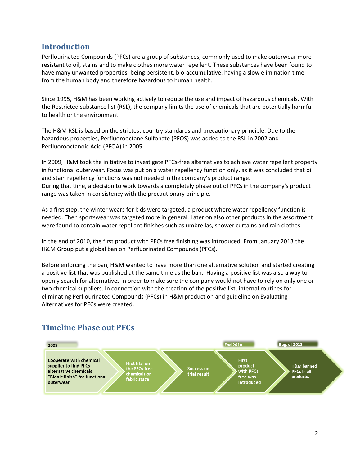#### **Introduction**

Perflourinated Compounds (PFCs) are a group of substances, commonly used to make outerwear more resistant to oil, stains and to make clothes more water repellent. These substances have been found to have many unwanted properties; being persistent, bio-accumulative, having a slow elimination time from the human body and therefore hazardous to human health.

Since 1995, H&M has been working actively to reduce the use and impact of hazardous chemicals. With the Restricted substance list (RSL), the company limits the use of chemicals that are potentially harmful to health or the environment.

The H&M RSL is based on the strictest country standards and precautionary principle. Due to the hazardous properties, Perfluorooctane Sulfonate (PFOS) was added to the RSL in 2002 and Perfluorooctanoic Acid (PFOA) in 2005.

In 2009, H&M took the initiative to investigate PFCs-free alternatives to achieve water repellent property in functional outerwear. Focus was put on a water repellency function only, as it was concluded that oil and stain repellency functions was not needed in the company's product range. During that time, a decision to work towards a completely phase out of PFCs in the company's product range was taken in consistency with the precautionary principle.

As a first step, the winter wears for kids were targeted, a product where water repellency function is needed. Then sportswear was targeted more in general. Later on also other products in the assortment were found to contain water repellant finishes such as umbrellas, shower curtains and rain clothes.

In the end of 2010, the first product with PFCs free finishing was introduced. From January 2013 the H&M Group put a global ban on Perfluorinated Compounds (PFCs).

Before enforcing the ban, H&M wanted to have more than one alternative solution and started creating a positive list that was published at the same time as the ban. Having a positive list was also a way to openly search for alternatives in order to make sure the company would not have to rely on only one or two chemical suppliers. In connection with the creation of the positive list, internal routines for eliminating Perflourinated Compounds (PFCs) in H&M production and guideline on Evaluating Alternatives for PFCs were created.



# **Timeline Phase out PFCs**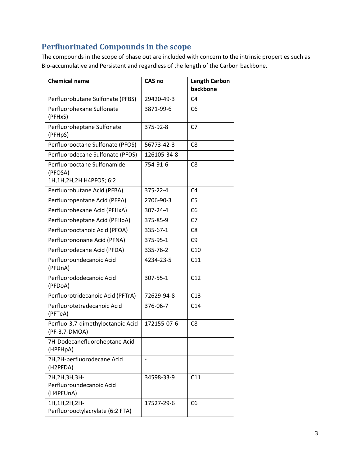# **Perfluorinated Compounds in the scope**

The compounds in the scope of phase out are included with concern to the intrinsic properties such as Bio-accumulative and Persistent and regardless of the length of the Carbon backbone.

| <b>Chemical name</b>                                                 | <b>CAS no</b> | <b>Length Carbon</b><br>backbone |
|----------------------------------------------------------------------|---------------|----------------------------------|
| Perfluorobutane Sulfonate (PFBS)                                     | 29420-49-3    | C <sub>4</sub>                   |
| Perfluorohexane Sulfonate<br>(PFHxS)                                 | 3871-99-6     | C <sub>6</sub>                   |
| Perfluoroheptane Sulfonate<br>(PFHpS)                                | 375-92-8      | C <sub>7</sub>                   |
| Perfluorooctane Sulfonate (PFOS)                                     | 56773-42-3    | C <sub>8</sub>                   |
| Perfluorodecane Sulfonate (PFDS)                                     | 126105-34-8   |                                  |
| Perfluorooctane Sulfonamide<br>(PFOSA)<br>1H, 1H, 2H, 2H H4PFOS; 6:2 | 754-91-6      | C8                               |
| Perfluorobutane Acid (PFBA)                                          | 375-22-4      | C <sub>4</sub>                   |
| Perfluoropentane Acid (PFPA)                                         | 2706-90-3     | C <sub>5</sub>                   |
| Perfluorohexane Acid (PFHxA)                                         | 307-24-4      | C6                               |
| Perfluoroheptane Acid (PFHpA)                                        | 375-85-9      | C <sub>7</sub>                   |
| Perfluorooctanoic Acid (PFOA)                                        | 335-67-1      | C <sub>8</sub>                   |
| Perfluorononane Acid (PFNA)                                          | 375-95-1      | C <sub>9</sub>                   |
| Perfluorodecane Acid (PFDA)                                          | 335-76-2      | C10                              |
| Perfluoroundecanoic Acid<br>(PFUnA)                                  | 4234-23-5     | C11                              |
| Perfluorododecanoic Acid<br>(PFDoA)                                  | 307-55-1      | C12                              |
| Perfluorotridecanoic Acid (PFTrA)                                    | 72629-94-8    | C13                              |
| Perfluorotetradecanoic Acid<br>(PFTeA)                               | 376-06-7      | C14                              |
| Perfluo-3,7-dimethyloctanoic Acid<br>(PF-3,7-DMOA)                   | 172155-07-6   | C <sub>8</sub>                   |
| 7H-Dodecanefluoroheptane Acid<br>(HPFHpA)                            |               |                                  |
| 2H,2H-perfluorodecane Acid<br>(H2PFDA)                               |               |                                  |
| 2H, 2H, 3H, 3H-<br>Perfluoroundecanoic Acid<br>(H4PFUnA)             | 34598-33-9    | C11                              |
| 1H, 1H, 2H, 2H-<br>Perfluorooctylacrylate (6:2 FTA)                  | 17527-29-6    | C <sub>6</sub>                   |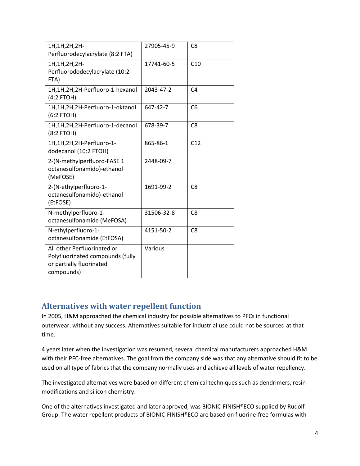| 1H, 1H, 2H, 2H-<br>Perfluorodecylacrylate (8:2 FTA)                                                       | 27905-45-9 | C <sub>8</sub> |
|-----------------------------------------------------------------------------------------------------------|------------|----------------|
| 1H, 1H, 2H, 2H-<br>Perfluorododecylacrylate (10:2<br>FTA)                                                 | 17741-60-5 | C10            |
| 1H,1H,2H,2H-Perfluoro-1-hexanol<br>$(4:2$ FTOH)                                                           | 2043-47-2  | C <sub>4</sub> |
| 1H,1H,2H,2H-Perfluoro-1-oktanol<br>$(6:2$ FTOH)                                                           | 647-42-7   | C <sub>6</sub> |
| 1H,1H,2H,2H-Perfluoro-1-decanol<br>(8:2 FTOH)                                                             | 678-39-7   | C <sub>8</sub> |
| 1H,1H,2H,2H-Perfluoro-1-<br>dodecanol (10:2 FTOH)                                                         | 865-86-1   | C12            |
| 2-(N-methylperfluoro-FASE 1<br>octanesulfonamido)-ethanol<br>(MeFOSE)                                     | 2448-09-7  |                |
| 2-(N-ethylperfluoro-1-<br>octanesulfonamido)-ethanol<br>(EtFOSE)                                          | 1691-99-2  | C <sub>8</sub> |
| N-methylperfluoro-1-<br>octanesulfonamide (MeFOSA)                                                        | 31506-32-8 | C <sub>8</sub> |
| N-ethylperfluoro-1-<br>octanesulfonamide (EtFOSA)                                                         | 4151-50-2  | C <sub>8</sub> |
| All other Perfluorinated or<br>Polyfluorinated compounds (fully<br>or partially fluorinated<br>compounds) | Various    |                |

## **Alternatives with water repellent function**

In 2005, H&M approached the chemical industry for possible alternatives to PFCs in functional outerwear, without any success. Alternatives suitable for industrial use could not be sourced at that time.

4 years later when the investigation was resumed, several chemical manufacturers approached H&M with their PFC-free alternatives. The goal from the company side was that any alternative should fit to be used on all type of fabrics that the company normally uses and achieve all levels of water repellency.

The investigated alternatives were based on different chemical techniques such as dendrimers, resinmodifications and silicon chemistry.

One of the alternatives investigated and later approved, was BIONIC-FINISH®ECO supplied by Rudolf Group. The water repellent products of BIONIC-FINISH®ECO are based on fluorine-free formulas with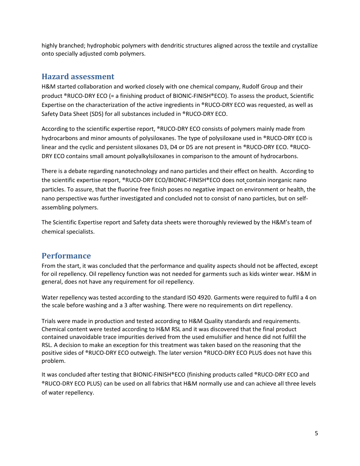highly branched; hydrophobic polymers with dendritic structures aligned across the textile and crystallize onto specially adjusted comb polymers.

#### **Hazard assessment**

H&M started collaboration and worked closely with one chemical company, Rudolf Group and their product ®RUCO-DRY ECO (= a finishing product of BIONIC-FINISH®ECO). To assess the product, Scientific Expertise on the characterization of the active ingredients in ®RUCO-DRY ECO was requested, as well as Safety Data Sheet (SDS) for all substances included in ®RUCO-DRY ECO.

According to the scientific expertise report, ®RUCO-DRY ECO consists of polymers mainly made from hydrocarbons and minor amounts of polysiloxanes. The type of polysiloxane used in ®RUCO-DRY ECO is linear and the cyclic and persistent siloxanes D3, D4 or D5 are not present in ®RUCO-DRY ECO. ®RUCO-DRY ECO contains small amount polyalkylsiloxanes in comparison to the amount of hydrocarbons.

There is a debate regarding nanotechnology and nano particles and their effect on health. According to the scientific expertise report, ®RUCO-DRY ECO/BIONIC-FINISH®ECO does not contain inorganic nano particles. To assure, that the fluorine free finish poses no negative impact on environment or health, the nano perspective was further investigated and concluded not to consist of nano particles, but on selfassembling polymers.

The Scientific Expertise report and Safety data sheets were thoroughly reviewed by the H&M's team of chemical specialists.

#### **Performance**

From the start, it was concluded that the performance and quality aspects should not be affected, except for oil repellency. Oil repellency function was not needed for garments such as kids winter wear. H&M in general, does not have any requirement for oil repellency.

Water repellency was tested according to the standard ISO 4920. Garments were required to fulfil a 4 on the scale before washing and a 3 after washing. There were no requirements on dirt repellency.

Trials were made in production and tested according to H&M Quality standards and requirements. Chemical content were tested according to H&M RSL and it was discovered that the final product contained unavoidable trace impurities derived from the used emulsifier and hence did not fulfill the RSL. A decision to make an exception for this treatment was taken based on the reasoning that the positive sides of ®RUCO-DRY ECO outweigh. The later version ®RUCO-DRY ECO PLUS does not have this problem.

It was concluded after testing that BIONIC-FINISH®ECO (finishing products called ®RUCO-DRY ECO and ®RUCO-DRY ECO PLUS) can be used on all fabrics that H&M normally use and can achieve all three levels of water repellency.